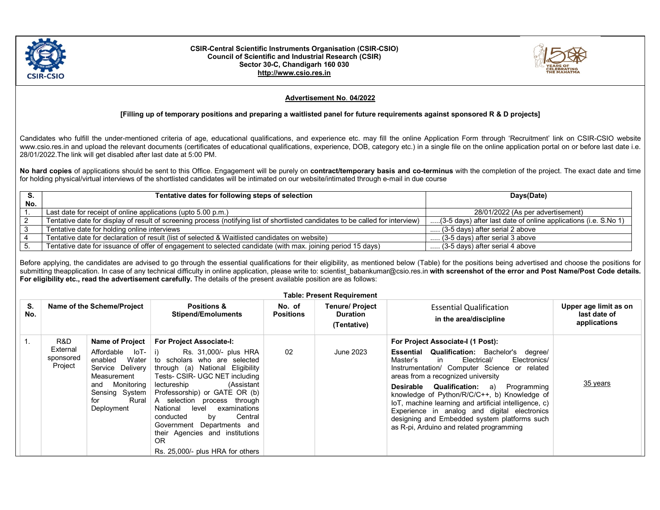

## CSIR-Central Scientific Instruments Organisation (CSIR-CSIO) Council of Scientific and Industrial Research (CSIR) Sector 30-C, Chandigarh 160 030 http://www.csio.res.in



## Advertisement No. 04/2022

## [Filling up of temporary positions and preparing a waitlisted panel for future requirements against sponsored R & D projects]

Candidates who fulfill the under-mentioned criteria of age, educational qualifications, and experience etc. may fill the online Application Form through 'Recruitment' link on CSIR-CSIO website www.csio.res.in and upload the relevant documents (certificates of educational qualifications, experience, DOB, category etc.) in a single file on the online application portal on or before last date i.e. 28/01/2022.The link will get disabled after last date at 5:00 PM.

No hard copies of applications should be sent to this Office. Engagement will be purely on contract/temporary basis and co-terminus with the completion of the project. The exact date and time for holding physical/virtual interviews of the shortlisted candidates will be intimated on our website/intimated through e-mail in due course

|     | Tentative dates for following steps of selection                                                                                | Days(Date)                                                      |  |
|-----|---------------------------------------------------------------------------------------------------------------------------------|-----------------------------------------------------------------|--|
| No. |                                                                                                                                 |                                                                 |  |
|     | Last date for receipt of online applications (upto 5.00 p.m.)                                                                   | 28/01/2022 (As per advertisement)                               |  |
|     | Tentative date for display of result of screening process (notifying list of shortlisted candidates to be called for interview) | (3-5 days) after last date of online applications (i.e. S.No 1) |  |
|     | Tentative date for holding online interviews                                                                                    | (3-5 days) after serial 2 above                                 |  |
|     | Tentative date for declaration of result (list of selected & Waitlisted candidates on website)                                  | $\ldots$ (3-5 days) after serial 3 above                        |  |
|     | Tentative date for issuance of offer of engagement to selected candidate (with max. joining period 15 days)                     | (3-5 days) after serial 4 above                                 |  |

Before applying, the candidates are advised to go through the essential qualifications for their eligibility, as mentioned below (Table) for the positions being advertised and choose the positions for submitting theapplication. In case of any technical difficulty in online application, please write to: scientist babankumar@csio.res.in with screenshot of the error and Post Name/Post Code details. For eligibility etc., read the advertisement carefully. The details of the present available position are as follows:

| <b>Table: Present Requirement</b> |                                         |                                                                                                                                                                                      |                                                                                                                                                                                                                                                                                                                                                                                                                                                  |                            |                                                          |                                                                                                                                                                                                                                                                                                                                                                                                                                                                                                                                             |                                                       |
|-----------------------------------|-----------------------------------------|--------------------------------------------------------------------------------------------------------------------------------------------------------------------------------------|--------------------------------------------------------------------------------------------------------------------------------------------------------------------------------------------------------------------------------------------------------------------------------------------------------------------------------------------------------------------------------------------------------------------------------------------------|----------------------------|----------------------------------------------------------|---------------------------------------------------------------------------------------------------------------------------------------------------------------------------------------------------------------------------------------------------------------------------------------------------------------------------------------------------------------------------------------------------------------------------------------------------------------------------------------------------------------------------------------------|-------------------------------------------------------|
| S.<br>No.                         |                                         | Name of the Scheme/Project                                                                                                                                                           | <b>Positions &amp;</b><br><b>Stipend/Emoluments</b>                                                                                                                                                                                                                                                                                                                                                                                              | No. of<br><b>Positions</b> | <b>Tenure/ Project</b><br><b>Duration</b><br>(Tentative) | <b>Essential Qualification</b><br>in the area/discipline                                                                                                                                                                                                                                                                                                                                                                                                                                                                                    | Upper age limit as on<br>last date of<br>applications |
|                                   | R&D<br>External<br>sponsored<br>Project | <b>Name of Project</b><br>Affordable<br>$ oT - i\rangle$<br>Water<br>enabled<br>Service Delivery<br>Measurement<br>Monitoring<br>and<br>Sensing System<br>Rural<br>for<br>Deployment | <b>For Project Associate-I:</b><br>Rs. 31,000/- plus HRA<br>to scholars who are selected<br>through (a) National Eligibility<br>Tests- CSIR- UGC NET including<br>(Assistant<br>lectureship<br>Professorship) or GATE OR (b)<br>A selection process through<br>examinations<br>National<br>level<br>Central<br>conducted<br>by<br>Government Departments and<br>their Agencies and institutions<br><b>OR</b><br>Rs. 25,000/- plus HRA for others | 02                         | June 2023                                                | For Project Associate-I (1 Post):<br><b>Essential Qualification:</b> Bachelor's degree/<br>Electrical/<br>Electronics/<br>Master's<br>in<br>Instrumentation/ Computer Science or related<br>areas from a recognized university<br><b>Qualification:</b><br>Desirable<br>a) Programming<br>knowledge of Python/R/C/C++, b) Knowledge of<br>IoT, machine learning and artificial intelligence, c)<br>Experience in analog and digital electronics<br>designing and Embedded system platforms such<br>as R-pi, Arduino and related programming | 35 years                                              |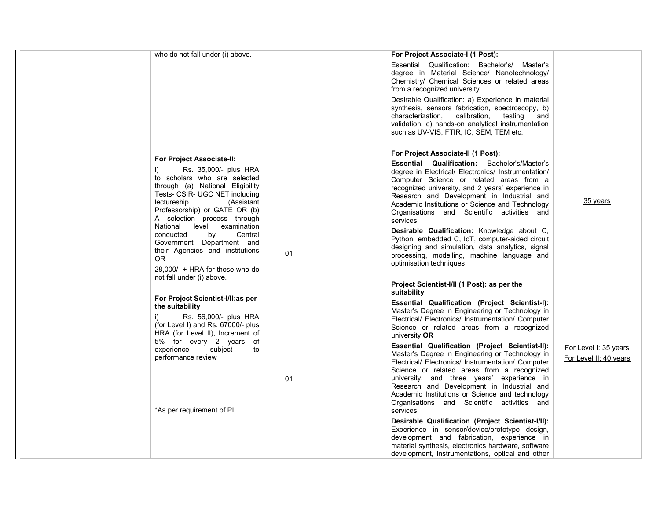| who do not fall under (i) above.                                                                                                                                                                                                                                   |    | For Project Associate-I (1 Post):                                                                                                                                                                                                                                                                                                                                                                                       |                                                 |
|--------------------------------------------------------------------------------------------------------------------------------------------------------------------------------------------------------------------------------------------------------------------|----|-------------------------------------------------------------------------------------------------------------------------------------------------------------------------------------------------------------------------------------------------------------------------------------------------------------------------------------------------------------------------------------------------------------------------|-------------------------------------------------|
|                                                                                                                                                                                                                                                                    |    | Essential Qualification: Bachelor's/ Master's<br>degree in Material Science/ Nanotechnology/<br>Chemistry/ Chemical Sciences or related areas<br>from a recognized university                                                                                                                                                                                                                                           |                                                 |
|                                                                                                                                                                                                                                                                    |    | Desirable Qualification: a) Experience in material<br>synthesis, sensors fabrication, spectroscopy, b)<br>characterization,<br>calibration,<br>testing<br>and<br>validation, c) hands-on analytical instrumentation<br>such as UV-VIS, FTIR, IC, SEM, TEM etc.                                                                                                                                                          |                                                 |
|                                                                                                                                                                                                                                                                    |    | For Project Associate-II (1 Post):                                                                                                                                                                                                                                                                                                                                                                                      |                                                 |
| <b>For Project Associate-II:</b><br>Rs. 35,000/- plus HRA<br>i)<br>to scholars who are selected<br>through (a) National Eligibility<br>Tests- CSIR- UGC NET including<br>lectureship<br>(Assistant<br>Professorship) or GATE OR (b)<br>A selection process through |    | <b>Essential Qualification:</b> Bachelor's/Master's<br>degree in Electrical/ Electronics/ Instrumentation/<br>Computer Science or related areas from a<br>recognized university, and 2 years' experience in<br>Research and Development in Industrial and<br>Academic Institutions or Science and Technology<br>Organisations and Scientific activities and<br>services                                                 | 35 years                                        |
| National level examination<br>Central<br>conducted<br>by<br>Government Department and<br>their Agencies and institutions<br>0R<br>28,000/- + HRA for those who do<br>not fall under (i) above.                                                                     | 01 | Desirable Qualification: Knowledge about C,<br>Python, embedded C, IoT, computer-aided circuit<br>designing and simulation, data analytics, signal<br>processing, modelling, machine language and<br>optimisation techniques                                                                                                                                                                                            |                                                 |
|                                                                                                                                                                                                                                                                    |    | Project Scientist-I/II (1 Post): as per the                                                                                                                                                                                                                                                                                                                                                                             |                                                 |
| For Project Scientist-I/II:as per<br>the suitability<br>Rs. 56,000/- plus HRA<br>i)<br>(for Level I) and Rs. 67000/- plus<br>HRA (for Level II), Increment of                                                                                                      |    | suitability<br>Essential Qualification (Project Scientist-I):<br>Master's Degree in Engineering or Technology in<br>Electrical/ Electronics/ Instrumentation/ Computer<br>Science or related areas from a recognized<br>university OR                                                                                                                                                                                   |                                                 |
| 5% for every 2 years of<br>experience<br>subject<br>to<br>performance review<br>*As per requirement of PI                                                                                                                                                          | 01 | <b>Essential Qualification (Project Scientist-II):</b><br>Master's Degree in Engineering or Technology in<br>Electrical/ Electronics/ Instrumentation/ Computer<br>Science or related areas from a recognized<br>university, and three years' experience in<br>Research and Development in Industrial and<br>Academic Institutions or Science and technology<br>Organisations and Scientific activities and<br>services | For Level I: 35 years<br>For Level II: 40 years |
|                                                                                                                                                                                                                                                                    |    | Desirable Qualification (Project Scientist-I/II):<br>Experience in sensor/device/prototype design,<br>development and fabrication, experience in<br>material synthesis, electronics hardware, software<br>development, instrumentations, optical and other                                                                                                                                                              |                                                 |